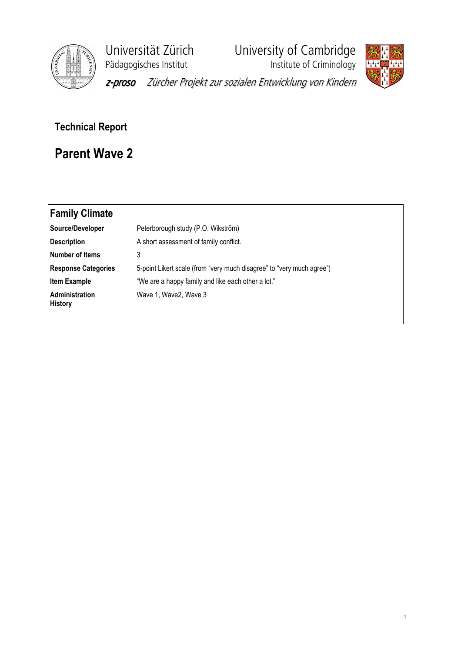

Pädagogisches Institut **Institute institute of Criminology** 

Universität Zürich University of Cambridge



z-proso Zürcher Projekt zur sozialen Entwicklung von Kindern

## Technical Report

## Parent Wave 2

| Family Climate                   |                                                                       |
|----------------------------------|-----------------------------------------------------------------------|
| Source/Developer                 | Peterborough study (P.O. Wikström)                                    |
| <b>Description</b>               | A short assessment of family conflict.                                |
| Number of Items                  | 3                                                                     |
| <b>Response Categories</b>       | 5-point Likert scale (from "very much disagree" to "very much agree") |
| <b>Item Example</b>              | "We are a happy family and like each other a lot."                    |
| Administration<br><b>History</b> | Wave 1, Wave 2, Wave 3                                                |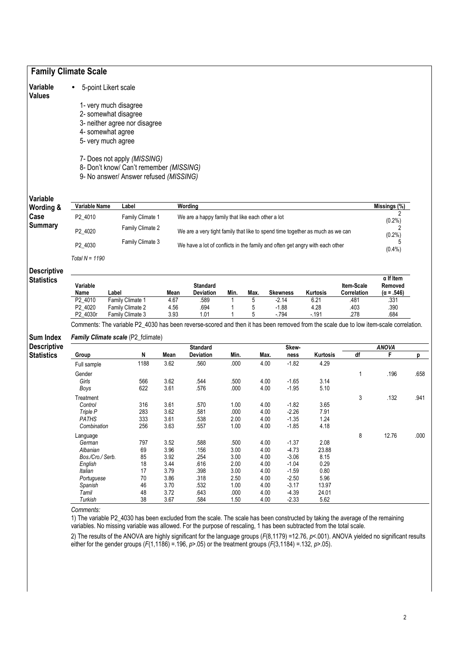|                                                             | <b>Family Climate Scale</b> |                                                                                                                                                                             |              |                                                                               |              |              |                    |               |                           |                              |           |
|-------------------------------------------------------------|-----------------------------|-----------------------------------------------------------------------------------------------------------------------------------------------------------------------------|--------------|-------------------------------------------------------------------------------|--------------|--------------|--------------------|---------------|---------------------------|------------------------------|-----------|
| Variable<br>Values                                          |                             | 5-point Likert scale                                                                                                                                                        |              |                                                                               |              |              |                    |               |                           |                              |           |
|                                                             |                             | 1- very much disagree                                                                                                                                                       |              |                                                                               |              |              |                    |               |                           |                              |           |
|                                                             |                             | 2- somewhat disagree                                                                                                                                                        |              |                                                                               |              |              |                    |               |                           |                              |           |
|                                                             |                             | 3- neither agree nor disagree                                                                                                                                               |              |                                                                               |              |              |                    |               |                           |                              |           |
|                                                             |                             | 4- somewhat agree                                                                                                                                                           |              |                                                                               |              |              |                    |               |                           |                              |           |
|                                                             |                             | 5- very much agree                                                                                                                                                          |              |                                                                               |              |              |                    |               |                           |                              |           |
|                                                             |                             |                                                                                                                                                                             |              |                                                                               |              |              |                    |               |                           |                              |           |
|                                                             |                             | 7- Does not apply (MISSING)<br>8- Don't know/ Can't remember (MISSING)<br>9- No answer/ Answer refused (MISSING)                                                            |              |                                                                               |              |              |                    |               |                           |                              |           |
| Variable<br>Wording &                                       | Variable Name               | Label                                                                                                                                                                       |              | Wording                                                                       |              |              |                    |               |                           | Missings (%)                 |           |
| Case                                                        | P2_4010                     | Family Climate 1                                                                                                                                                            |              | We are a happy family that like each other a lot                              |              |              |                    |               |                           |                              |           |
| <b>Summary</b>                                              | P2_4020                     | Family Climate 2                                                                                                                                                            |              | We are a very tight family that like to spend time together as much as we can |              |              |                    |               |                           | $(0.2\%)$                    |           |
|                                                             | P2_4030                     | Family Climate 3                                                                                                                                                            |              | We have a lot of conflicts in the family and often get angry with each other  |              |              |                    |               |                           | $(0.2\%)$<br>5<br>$(0.4\%)$  |           |
|                                                             | Total $N = 1190$            |                                                                                                                                                                             |              |                                                                               |              |              |                    |               |                           |                              |           |
| <b>Descriptive</b><br><b>Statistics</b>                     |                             |                                                                                                                                                                             |              |                                                                               |              |              |                    |               |                           |                              |           |
|                                                             |                             |                                                                                                                                                                             |              |                                                                               |              |              |                    |               |                           | $\alpha$ If Item             |           |
|                                                             | Variable<br>Name            | Label                                                                                                                                                                       | Mean         | <b>Standard</b><br>Deviation                                                  | Min.         | Max.         | <b>Skewness</b>    | Kurtosis      | Item-Scale<br>Correlation | Removed<br>$(\alpha = .546)$ |           |
|                                                             | P2_4010<br>P2 4020          | Family Climate 1<br>Family Climate 2                                                                                                                                        | 4.67<br>4.56 | .589<br>.694                                                                  | 1<br>1       | 5<br>5       | $-2.14$<br>$-1.88$ | 6.21<br>4.28  | .481<br>.403              | .331<br>.390                 |           |
|                                                             | P2_4030r                    | Family Climate 3                                                                                                                                                            | 3.93         | 1.01                                                                          |              | 5            | $-794$             | $-.191$       | .278                      | .684                         |           |
|                                                             |                             | Comments: The variable P2_4030 has been reverse-scored and then it has been removed from the scale due to low item-scale correlation.<br>Family Climate scale (P2_fclimate) |              |                                                                               |              |              |                    |               |                           |                              |           |
|                                                             |                             |                                                                                                                                                                             |              | <b>Standard</b>                                                               |              |              | Skew-              |               |                           | <b>ANOVA</b>                 |           |
|                                                             | Group                       | N                                                                                                                                                                           | Mean         | Deviation                                                                     | Min.         | Max.         | ness               | Kurtosis      | df                        | F                            |           |
|                                                             | Full sample                 | 1188                                                                                                                                                                        | 3.62         | .560                                                                          | .000         | 4.00         | $-1.82$            | 4.29          |                           |                              |           |
|                                                             | Gender                      |                                                                                                                                                                             |              |                                                                               |              |              |                    |               | 1                         | .196                         | р<br>.658 |
|                                                             | Girls                       | 566                                                                                                                                                                         | 3.62         | .544                                                                          | .500         | 4.00         | $-1.65$            | 3.14          |                           |                              |           |
|                                                             | Boys                        | 622                                                                                                                                                                         | 3.61         | .576                                                                          | .000         | 4.00         | $-1.95$            | 5.10          |                           |                              |           |
|                                                             | Treatment                   |                                                                                                                                                                             |              |                                                                               |              |              |                    |               | 3                         | .132                         |           |
|                                                             | Control                     | 316                                                                                                                                                                         | 3.61         | .570                                                                          | 1.00         | 4.00         | $-1.82$            | 3.65          |                           |                              | .941      |
|                                                             | Triple P                    | 283                                                                                                                                                                         | 3.62         | .581                                                                          | .000         | 4.00         | $-2.26$            | 7.91          |                           |                              |           |
|                                                             | <b>PATHS</b>                | 333                                                                                                                                                                         | 3.61         | .538                                                                          | 2.00         | 4.00         | $-1.35$            | 1.24          |                           |                              |           |
|                                                             | Combination                 | 256                                                                                                                                                                         | 3.63         | .557                                                                          | 1.00         | 4.00         | $-1.85$            | 4.18          |                           |                              |           |
|                                                             | Language                    |                                                                                                                                                                             |              |                                                                               |              |              |                    |               | 8                         | 12.76                        |           |
|                                                             | German                      | 797                                                                                                                                                                         | 3.52         | .588                                                                          | .500         | 4.00         | $-1.37$            | 2.08          |                           |                              |           |
|                                                             | Albanian                    | 69                                                                                                                                                                          | 3.96         | .156                                                                          | 3.00         | 4.00         | $-4.73$            | 23.88         |                           |                              |           |
|                                                             | Bos./Cro./ Serb.            | 85                                                                                                                                                                          | 3.92         | .254                                                                          | 3.00         | 4.00         | $-3.06$            | 8.15          |                           |                              |           |
|                                                             | English                     | 18                                                                                                                                                                          | 3.44         | .616                                                                          | 2.00         | 4.00         | $-1.04$            | 0.29          |                           |                              |           |
|                                                             | Italian                     | 17                                                                                                                                                                          | 3.79         | .398                                                                          | 3.00         | 4.00         | $-1.59$            | 0.80          |                           |                              |           |
|                                                             | Portuguese                  | 70                                                                                                                                                                          | 3.86         | .318                                                                          | 2.50         | 4.00         | $-2.50$            | 5.96          |                           |                              |           |
| <b>Sum Index</b><br><b>Descriptive</b><br><b>Statistics</b> | Spanish                     | 46                                                                                                                                                                          | 3.70         | .532                                                                          | 1.00         | 4.00         | $-3.17$            | 13.97         |                           |                              |           |
|                                                             | Tamil<br>Turkish            | 48<br>38                                                                                                                                                                    | 3.72<br>3.67 | .643<br>.584                                                                  | .000<br>1.50 | 4.00<br>4.00 | $-4.39$<br>$-2.33$ | 24.01<br>5.62 |                           |                              | .000      |

1) The variable P2\_4030 has been excluded from the scale. The scale has been constructed by taking the average of the remaining variables. No missing variable was allowed. For the purpose of rescaling, 1 has been subtracted from the total scale.

2) The results of the ANOVA are highly significant for the language groups (F(8,1179) =12.76, *p<*.001). ANOVA yielded no significant results either for the gender groups (F(1,1186) = 196, p>.05) or the treatment groups (F(3,1184) = 132, p>.05).